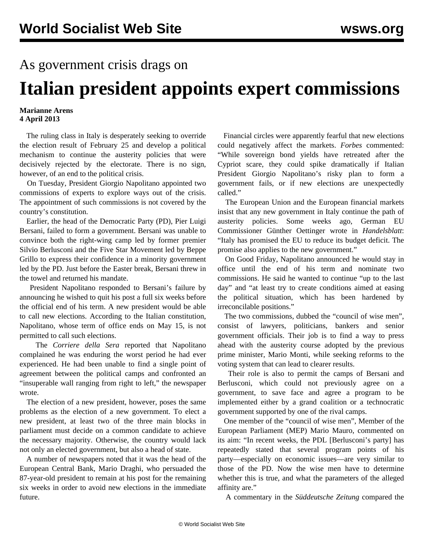## As government crisis drags on

## **Italian president appoints expert commissions**

## **Marianne Arens 4 April 2013**

 The ruling class in Italy is desperately seeking to override the election result of February 25 and develop a political mechanism to continue the austerity policies that were decisively rejected by the electorate. There is no sign, however, of an end to the political crisis.

 On Tuesday, President Giorgio Napolitano appointed two commissions of experts to explore ways out of the crisis. The appointment of such commissions is not covered by the country's constitution.

 Earlier, the head of the Democratic Party (PD), Pier Luigi Bersani, failed to form a government. Bersani was unable to convince both the right-wing camp led by former premier Silvio Berlusconi and the Five Star Movement led by Beppe Grillo to express their confidence in a minority government led by the PD. Just before the Easter break, Bersani threw in the towel and returned his mandate.

 President Napolitano responded to Bersani's failure by announcing he wished to quit his post a full six weeks before the official end of his term. A new president would be able to call new elections. According to the Italian constitution, Napolitano, whose term of office ends on May 15, is not permitted to call such elections.

 The *Corriere della Sera* reported that Napolitano complained he was enduring the worst period he had ever experienced. He had been unable to find a single point of agreement between the political camps and confronted an "insuperable wall ranging from right to left," the newspaper wrote.

 The election of a new president, however, poses the same problems as the election of a new government. To elect a new president, at least two of the three main blocks in parliament must decide on a common candidate to achieve the necessary majority. Otherwise, the country would lack not only an elected government, but also a head of state.

 A number of newspapers noted that it was the head of the European Central Bank, Mario Draghi, who persuaded the 87-year-old president to remain at his post for the remaining six weeks in order to avoid new elections in the immediate future.

 Financial circles were apparently fearful that new elections could negatively affect the markets. *Forbes* commented: "While sovereign bond yields have retreated after the Cypriot scare, they could spike dramatically if Italian President Giorgio Napolitano's risky plan to form a government fails, or if new elections are unexpectedly called."

 The European Union and the European financial markets insist that any new government in Italy continue the path of austerity policies. Some weeks ago, German EU Commissioner Günther Oettinger wrote in *Handelsblatt*: "Italy has promised the EU to reduce its budget deficit. The promise also applies to the new government."

 On Good Friday, Napolitano announced he would stay in office until the end of his term and nominate two commissions. He said he wanted to continue "up to the last day" and "at least try to create conditions aimed at easing the political situation, which has been hardened by irreconcilable positions."

 The two commissions, dubbed the "council of wise men", consist of lawyers, politicians, bankers and senior government officials. Their job is to find a way to press ahead with the austerity course adopted by the previous prime minister, Mario Monti, while seeking reforms to the voting system that can lead to clearer results.

 Their role is also to permit the camps of Bersani and Berlusconi, which could not previously agree on a government, to save face and agree a program to be implemented either by a grand coalition or a technocratic government supported by one of the rival camps.

 One member of the "council of wise men", Member of the European Parliament (MEP) Mario Mauro, commented on its aim: "In recent weeks, the PDL [Berlusconi's party] has repeatedly stated that several program points of his party—especially on economic issues—are very similar to those of the PD. Now the wise men have to determine whether this is true, and what the parameters of the alleged affinity are."

A commentary in the *Süddeutsche Zeitung* compared the